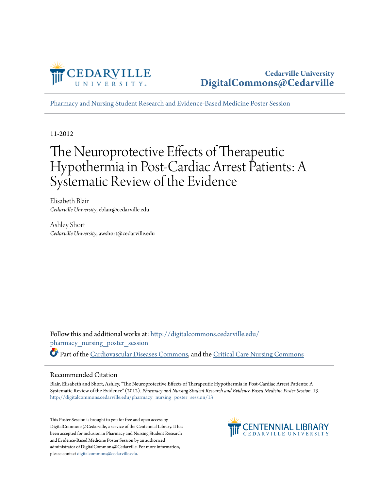

[Pharmacy and Nursing Student Research and Evidence-Based Medicine Poster Session](http://digitalcommons.cedarville.edu/pharmacy_nursing_poster_session?utm_source=digitalcommons.cedarville.edu%2Fpharmacy_nursing_poster_session%2F13&utm_medium=PDF&utm_campaign=PDFCoverPages)

11-2012

#### The Neuroprotective Effects of Therapeutic Hypothermia in Post-Cardiac Arrest Patients: A Systematic Review of the Evidence

Elisabeth Blair *Cedarville University*, eblair@cedarville.edu

Ashley Short *Cedarville University*, awshort@cedarville.edu

Follow this and additional works at: [http://digitalcommons.cedarville.edu/](http://digitalcommons.cedarville.edu/pharmacy_nursing_poster_session?utm_source=digitalcommons.cedarville.edu%2Fpharmacy_nursing_poster_session%2F13&utm_medium=PDF&utm_campaign=PDFCoverPages) [pharmacy\\_nursing\\_poster\\_session](http://digitalcommons.cedarville.edu/pharmacy_nursing_poster_session?utm_source=digitalcommons.cedarville.edu%2Fpharmacy_nursing_poster_session%2F13&utm_medium=PDF&utm_campaign=PDFCoverPages) Part of the [Cardiovascular Diseases Commons,](http://network.bepress.com/hgg/discipline/929?utm_source=digitalcommons.cedarville.edu%2Fpharmacy_nursing_poster_session%2F13&utm_medium=PDF&utm_campaign=PDFCoverPages) and the [Critical Care Nursing Commons](http://network.bepress.com/hgg/discipline/727?utm_source=digitalcommons.cedarville.edu%2Fpharmacy_nursing_poster_session%2F13&utm_medium=PDF&utm_campaign=PDFCoverPages)

#### Recommended Citation

Blair, Elisabeth and Short, Ashley, "The Neuroprotective Effects of Therapeutic Hypothermia in Post-Cardiac Arrest Patients: A Systematic Review of the Evidence" (2012). *Pharmacy and Nursing Student Research and Evidence-Based Medicine Poster Session*. 13. [http://digitalcommons.cedarville.edu/pharmacy\\_nursing\\_poster\\_session/13](http://digitalcommons.cedarville.edu/pharmacy_nursing_poster_session/13?utm_source=digitalcommons.cedarville.edu%2Fpharmacy_nursing_poster_session%2F13&utm_medium=PDF&utm_campaign=PDFCoverPages)

This Poster Session is brought to you for free and open access by DigitalCommons@Cedarville, a service of the Centennial Library. It has been accepted for inclusion in Pharmacy and Nursing Student Research and Evidence-Based Medicine Poster Session by an authorized administrator of DigitalCommons@Cedarville. For more information, please contact [digitalcommons@cedarville.edu.](mailto:digitalcommons@cedarville.edu)